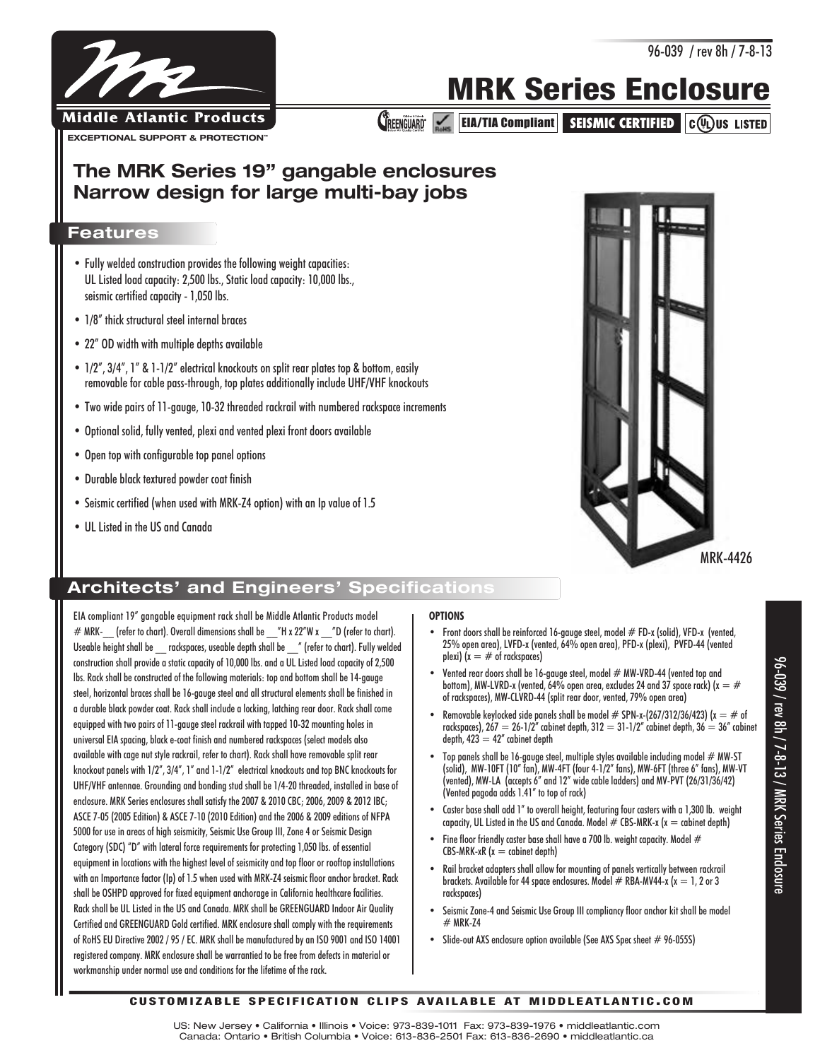## **MRK Series Enclosure**

**CREENGUARD:** EIA/TIA Compliant SEISMIC CERTIFIED CO US LISTED

## **The MRK Series 19" gangable enclosures Narrow design for large multi-bay jobs**

#### **Features**

- Fully welded construction provides the following weight capacities: UL Listed load capacity: 2,500 lbs., Static load capacity: 10,000 lbs., seismic certified capacity - 1,050 lbs.
- 1/8" thick structural steel internal braces
- 22" OD width with multiple depths available
- 1/2", 3/4", 1" & 1-1/2" electrical knockouts on split rear plates top & bottom, easily removable for cable pass-through, top plates additionally include UHF/VHF knockouts
- Two wide pairs of 11-gauge, 10-32 threaded rackrail with numbered rackspace increments
- Optional solid, fully vented, plexi and vented plexi front doors available
- Open top with configurable top panel options
- Durable black textured powder coat finish
- Seismic certified (when used with MRK-Z4 option) with an Ip value of 1.5
- UL Listed in the US and Canada

## **Architects' and Engineers' Specifications**

EIA compliant 19" gangable equipment rack shall be Middle Atlantic Products model  $#$  MRK- (refer to chart). Overall dimensions shall be  $H \times 22''W \times T$  D (refer to chart). Useable height shall be \_\_ rackspaces, useable depth shall be \_\_ " (refer to chart). Fully welded construction shall provide a static capacity of 10,000 lbs. and a UL Listed load capacity of 2,500 lbs. Rack shall be constructed of the following materials: top and bottom shall be 14-gauge steel, horizontal braces shall be 16-gauge steel and all structural elements shall be finished in a durable black powder coat. Rack shall include a locking, latching rear door. Rack shall come equipped with two pairs of 11-gauge steel rackrail with tapped 10-32 mounting holes in universal EIA spacing, black e-coat finish and numbered rackspaces (select models also available with cage nut style rackrail, refer to chart). Rack shall have removable split rear knockout panels with 1/2", 3/4", 1" and 1-1/2" electrical knockouts and top BNC knockouts for UHF/VHF antennae. Grounding and bonding stud shall be 1/4-20 threaded, installed in base of enclosure. MRK Series enclosures shall satisfy the 2007 & 2010 CBC; 2006, 2009 & 2012 IBC; ASCE 7-05 (2005 Edition) & ASCE 7-10 (2010 Edition) and the 2006 & 2009 editions of NFPA 5000 for use in areas of high seismicity, Seismic Use Group III, Zone 4 or Seismic Design Category (SDC) "D" with lateral force requirements for protecting 1,050 lbs. of essential equipment in locations with the highest level of seismicity and top floor or rooftop installations with an Importance factor (Ip) of 1.5 when used with MRK-Z4 seismic floor anchor bracket. Rack shall be OSHPD approved for fixed equipment anchorage in California healthcare facilities. Rack shall be UL Listed in the US and Canada. MRK shall be GREENGUARD Indoor Air Quality Certified and GREENGUARD Gold certified. MRK enclosure shall comply with the requirements of RoHS EU Directive 2002 / 95 / EC. MRK shall be manufactured by an ISO 9001 and ISO 14001 registered company. MRK enclosure shall be warrantied to be free from defects in material or workmanship under normal use and conditions for the lifetime of the rack.

#### **OPTIONS**

- Front doors shall be reinforced 16-gauge steel, model # FD-x (solid), VFD-x (vented, 25% open area), LVFD-x (vented, 64% open area), PFD-x (plexi), PVFD-44 (vented plexi) ( $x = #$  of rackspaces)
- Vented rear doors shall be 16-gauge steel, model # MW-VRD-44 (vented top and bottom), MW-LVRD-x (vented, 64% open area, excludes 24 and 37 space rack) ( $x = #$ of rackspaces), MW-CLVRD-44 (split rear door, vented, 79% open area)
- Removable keylocked side panels shall be model  $#$  SPN-x-(267/312/36/423) ( $x = #$  of rackspaces),  $267 = 26 - 1/2^n$  cabinet depth,  $312 = 31 - 1/2^n$  cabinet depth,  $36 = 36^n$  cabinet depth,  $423 = 42$ " cabinet depth
- Top panels shall be 16-gauge steel, multiple styles available including model  $#$  MW-ST (solid), MW-10FT (10" fan), MW-4FT (four 4-1/2" fans), MW-6FT (three 6" fans), MW-VT (vented), MW-LA (accepts 6" and 12" wide cable ladders) and MV-PVT (26/31/36/42) (Vented pagoda adds 1.41" to top of rack)
- Caster base shall add 1" to overall height, featuring four casters with a 1,300 lb. weight capacity, UL Listed in the US and Canada. Model  $\#$  CBS-MRK-x (x = cabinet depth)
- Fine floor friendly caster base shall have a 700 lb. weight capacity. Model  $#$  $CBS-MRK-xR$  ( $x =$  cabinet depth)
- Rail bracket adapters shall allow for mounting of panels vertically between rackrail brackets. Available for 44 space enclosures. Model  $#$  RBA-MV44-x (x = 1, 2 or 3 rackspaces)
- Seismic Zone-4 and Seismic Use Group III compliancy floor anchor kit shall be model # MRK-Z4
- Slide-out AXS enclosure option available (See AXS Spec sheet # 96-055S)



#### **C U S TO M I Z A B L E S P E C I F I C AT I O N C L I P S AVA I L A B L E AT M I D D L E AT L A N T I C . C O M**

US: New Jersey • California • Illinois • Voice: 973-839-1011 Fax: 973-839-1976 • middleatlantic.com Canada: Ontario • British Columbia • Voice: 613-836-2501 Fax: 613-836-2690 • middleatlantic.ca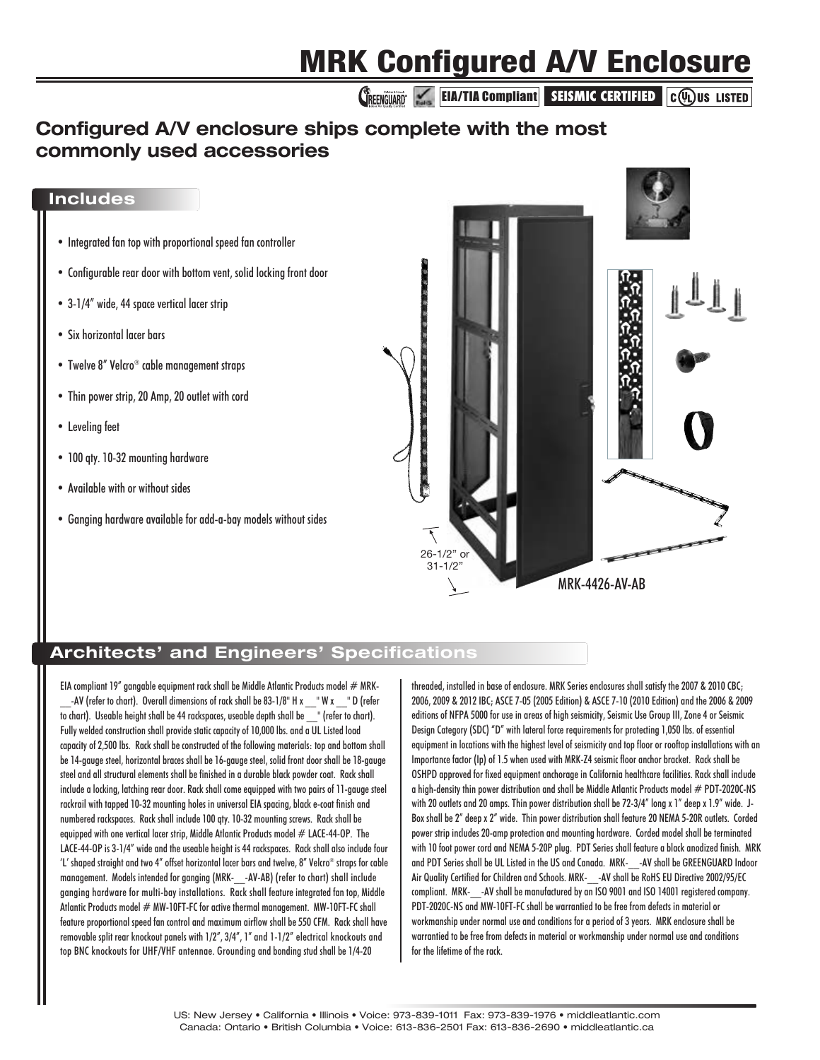## **MRK Configured A/V Enclosure**

**CREENGUARD EIA/TIA Compliant** SEISMIC CERTIFIED C(VL)US LISTED

## **Configured A/V enclosure ships complete with the most commonly used accessories**

#### **Includes**

- Integrated fan top with proportional speed fan controller
- Configurable rear door with bottom vent, solid locking front door
- 3-1/4" wide, 44 space vertical lacer strip
- Six horizontal lacer bars
- Twelve 8" Velcro® cable management straps
- Thin power strip, 20 Amp, 20 outlet with cord
- Leveling feet
- 100 qty. 10-32 mounting hardware
- Available with or without sides
- Ganging hardware available for add-a-bay models without sides



#### **Architects' and Engineers' Specifications**

EIA compliant 19" gangable equipment rack shall be Middle Atlantic Products model  $#$  MRK--AV (refer to chart). Overall dimensions of rack shall be 83-1/8" H x \_\_ " W x \_\_ " D (refer to chart). Useable height shall be 44 rackspaces, useable depth shall be \_\_" (refer to chart). Fully welded construction shall provide static capacity of 10,000 lbs. and a UL Listed load capacity of 2,500 lbs. Rack shall be constructed of the following materials: top and bottom shall be 14-gauge steel, horizontal braces shall be 16-gauge steel, solid front door shall be 18-gauge steel and all structural elements shall be finished in a durable black powder coat. Rack shall include a locking, latching rear door. Rack shall come equipped with two pairs of 11-gauge steel rackrail with tapped 10-32 mounting holes in universal EIA spacing, black e-coat finish and numbered rackspaces. Rack shall include 100 qty. 10-32 mounting screws. Rack shall be equipped with one vertical lacer strip, Middle Atlantic Products model  $#$  LACE-44-OP. The LACE-44-OP is 3-1/4" wide and the useable height is 44 rackspaces. Rack shall also include four 'L' shaped straight and two 4" offset horizontal lacer bars and twelve, 8" Velcro® straps for cable management. Models intended for ganging (MRK-\_\_-AV-AB) (refer to chart) shall include ganging hardware for multi-bay installations. Rack shall feature integrated fan top, Middle Atlantic Products model # MW-10FT-FC for active thermal management. MW-10FT-FC shall feature proportional speed fan control and maximum airflow shall be 550 CFM. Rack shall have removable split rear knockout panels with 1/2", 3/4", 1" and 1-1/2" electrical knockouts and top BNC knockouts for UHF/VHF antennae. Grounding and bonding stud shall be 1/4-20

threaded, installed in base of enclosure. MRK Series enclosures shall satisfy the 2007 & 2010 CBC; 2006, 2009 & 2012 IBC; ASCE 7-05 (2005 Edition) & ASCE 7-10 (2010 Edition) and the 2006 & 2009 editions of NFPA 5000 for use in areas of high seismicity, Seismic Use Group III, Zone 4 or Seismic Design Category (SDC) "D" with lateral force requirements for protecting 1,050 lbs. of essential equipment in locations with the highest level of seismicity and top floor or rooftop installations with an Importance factor (Ip) of 1.5 when used with MRK-Z4 seismic floor anchor bracket. Rack shall be OSHPD approved for fixed equipment anchorage in California healthcare facilities. Rack shall include a high-density thin power distribution and shall be Middle Atlantic Products model  $#$  PDT-2020C-NS with 20 outlets and 20 amps. Thin power distribution shall be 72-3/4" long x 1" deep x 1.9" wide. J-Box shall be 2" deep x 2" wide. Thin power distribution shall feature 20 NEMA 5-20R outlets. Corded power strip includes 20-amp protection and mounting hardware. Corded model shall be terminated with 10 foot power cord and NEMA 5-20P plug. PDT Series shall feature a black anodized finish. MRK and PDT Series shall be UL Listed in the US and Canada. MRK- -AV shall be GREENGUARD Indoor Air Quality Certified for Children and Schools. MRK- - AV shall be RoHS EU Directive 2002/95/EC compliant. MRK-\_\_-AV shall be manufactured by an ISO 9001 and ISO 14001 registered company. PDT-2020C-NS and MW-10FT-FC shall be warrantied to be free from defects in material or workmanship under normal use and conditions for a period of 3 years. MRK enclosure shall be warrantied to be free from defects in material or workmanship under normal use and conditions for the lifetime of the rack.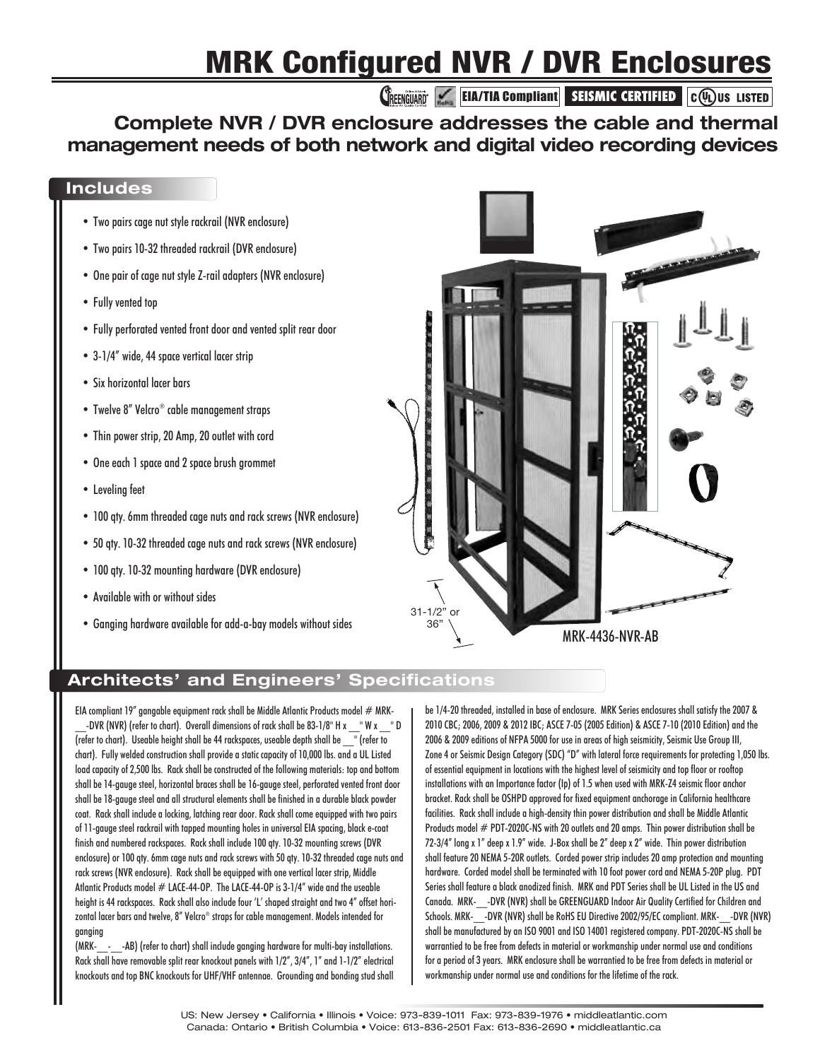# **MRK Configured NVR / DVR Enclosures**

**CREENGUARD EIA/TIA Compliant SEISMIC CERTIFIED C(V)** US LISTED

## **Complete NVR / DVR enclosure addresses the cable and thermal management needs of both network and digital video recording devices**

#### **Includes**

- Two pairs cage nut style rackrail (NVR enclosure)
- Two pairs 10-32 threaded rackrail (DVR enclosure)
- One pair of cage nut style Z-rail adapters (NVR enclosure)
- Fully vented top
- Fully perforated vented front door and vented split rear door
- 3-1/4" wide, 44 space vertical lacer strip
- Six horizontal lacer bars
- Twelve 8" Velcro® cable management straps
- Thin power strip, 20 Amp, 20 outlet with cord
- One each 1 space and 2 space brush grommet
- Leveling feet
- 100 qty. 6mm threaded cage nuts and rack screws (NVR enclosure)
- 50 qty. 10-32 threaded cage nuts and rack screws (NVR enclosure)
- 100 qty. 10-32 mounting hardware (DVR enclosure)
- Available with or without sides
- Ganging hardware available for add-a-bay models without sides



### **Architects' and Engineers' Specifications**

EIA compliant 19" gangable equipment rack shall be Middle Atlantic Products model  $#$  MRK--DVR (NVR) (refer to chart). Overall dimensions of rack shall be 83-1/8" H x \_\_ " W x \_\_ " D (refer to chart). Useable height shall be 44 rackspaces, useable depth shall be \_\_" (refer to chart). Fully welded construction shall provide a static capacity of 10,000 lbs. and a UL Listed load capacity of 2,500 lbs. Rack shall be constructed of the following materials: top and bottom shall be 14-gauge steel, horizontal braces shall be 16-gauge steel, perforated vented front door shall be 18-gauge steel and all structural elements shall be finished in a durable black powder coat. Rack shall include a locking, latching rear door. Rack shall come equipped with two pairs of 11-gauge steel rackrail with tapped mounting holes in universal EIA spacing, black e-coat finish and numbered rackspaces. Rack shall include 100 qty. 10-32 mounting screws (DVR enclosure) or 100 qty. 6mm cage nuts and rack screws with 50 qty. 10-32 threaded cage nuts and rack screws (NVR enclosure). Rack shall be equipped with one vertical lacer strip, Middle Atlantic Products model  $#$  LACE-44-OP. The LACE-44-OP is 3-1/4" wide and the useable height is 44 rackspaces. Rack shall also include four 'L' shaped straight and two 4" offset horizontal lacer bars and twelve, 8" Velcro® straps for cable management. Models intended for ganging

(MRK-\_\_-\_ \_-AB) (refer to chart) shall include ganging hardware for multi-bay installations. Rack shall have removable split rear knockout panels with 1/2", 3/4", 1" and 1-1/2" electrical knockouts and top BNC knockouts for UHF/VHF antennae. Grounding and bonding stud shall be 1/4-20 threaded, installed in base of enclosure. MRK Series enclosures shall satisfy the 2007 & 2010 CBC; 2006, 2009 & 2012 IBC; ASCE 7-05 (2005 Edition) & ASCE 7-10 (2010 Edition) and the 2006 & 2009 editions of NFPA 5000 for use in areas of high seismicity, Seismic Use Group III, Zone 4 or Seismic Design Category (SDC) "D" with lateral force requirements for protecting 1,050 lbs. of essential equipment in locations with the highest level of seismicity and top floor or rooftop installations with an Importance factor (Ip) of 1.5 when used with MRK-Z4 seismic floor anchor bracket. Rack shall be OSHPD approved for fixed equipment anchorage in California healthcare facilities. Rack shall include a high-density thin power distribution and shall be Middle Atlantic Products model # PDT-2020C-NS with 20 outlets and 20 amps. Thin power distribution shall be 72-3/4" long x 1" deep x 1.9" wide. J-Box shall be 2" deep x 2" wide. Thin power distribution shall feature 20 NEMA 5-20R outlets. Corded power strip includes 20 amp protection and mounting hardware. Corded model shall be terminated with 10 foot power cord and NEMA 5-20P plug. PDT Series shall feature a black anodized finish. MRK and PDT Series shall be UL Listed in the US and Canada. MRK-\_\_-DVR (NVR) shall be GREENGUARD Indoor Air Quality Certified for Children and Schools. MRK- -DVR (NVR) shall be RoHS EU Directive 2002/95/EC compliant. MRK- -DVR (NVR) shall be manufactured by an ISO 9001 and ISO 14001 registered company. PDT-2020C-NS shall be warrantied to be free from defects in material or workmanship under normal use and conditions for a period of 3 years. MRK enclosure shall be warrantied to be free from defects in material or workmanship under normal use and conditions for the lifetime of the rack.